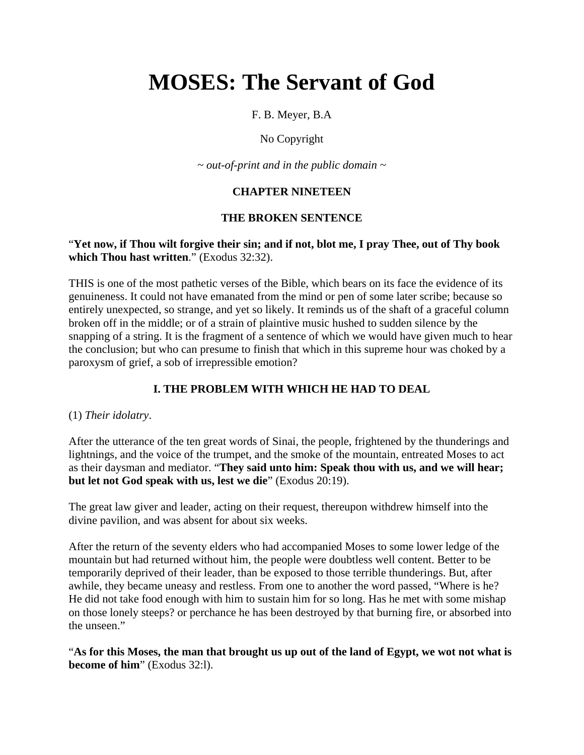# **MOSES: The Servant of God**

### F. B. Meyer, B.A

## No Copyright

*~ out-of-print and in the public domain ~* 

# **CHAPTER NINETEEN**

### **THE BROKEN SENTENCE**

#### "**Yet now, if Thou wilt forgive their sin; and if not, blot me, I pray Thee, out of Thy book which Thou hast written**." (Exodus 32:32).

THIS is one of the most pathetic verses of the Bible, which bears on its face the evidence of its genuineness. It could not have emanated from the mind or pen of some later scribe; because so entirely unexpected, so strange, and yet so likely. It reminds us of the shaft of a graceful column broken off in the middle; or of a strain of plaintive music hushed to sudden silence by the snapping of a string. It is the fragment of a sentence of which we would have given much to hear the conclusion; but who can presume to finish that which in this supreme hour was choked by a paroxysm of grief, a sob of irrepressible emotion?

# **I. THE PROBLEM WITH WHICH HE HAD TO DEAL**

### (1) *Their idolatry*.

After the utterance of the ten great words of Sinai, the people, frightened by the thunderings and lightnings, and the voice of the trumpet, and the smoke of the mountain, entreated Moses to act as their daysman and mediator. "**They said unto him: Speak thou with us, and we will hear; but let not God speak with us, lest we die**" (Exodus 20:19).

The great law giver and leader, acting on their request, thereupon withdrew himself into the divine pavilion, and was absent for about six weeks.

After the return of the seventy elders who had accompanied Moses to some lower ledge of the mountain but had returned without him, the people were doubtless well content. Better to be temporarily deprived of their leader, than be exposed to those terrible thunderings. But, after awhile, they became uneasy and restless. From one to another the word passed, "Where is he? He did not take food enough with him to sustain him for so long. Has he met with some mishap on those lonely steeps? or perchance he has been destroyed by that burning fire, or absorbed into the unseen."

"**As for this Moses, the man that brought us up out of the land of Egypt, we wot not what is become of him**" (Exodus 32:l).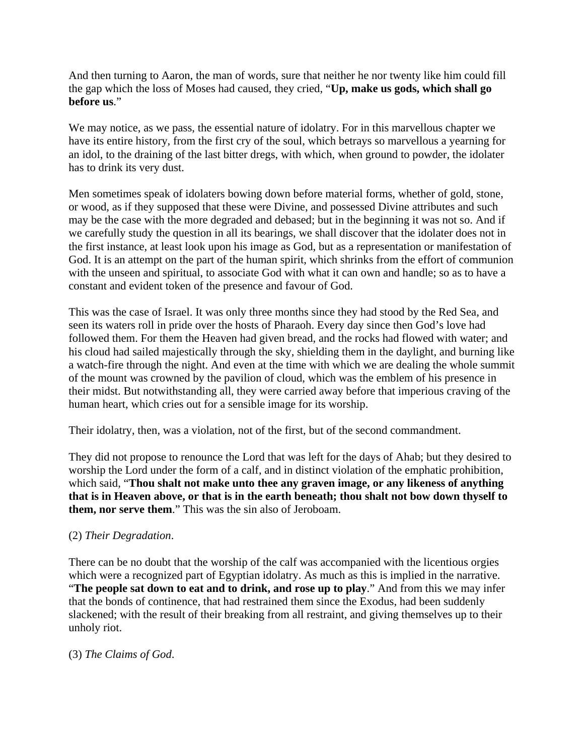And then turning to Aaron, the man of words, sure that neither he nor twenty like him could fill the gap which the loss of Moses had caused, they cried, "**Up, make us gods, which shall go before us**."

We may notice, as we pass, the essential nature of idolatry. For in this marvellous chapter we have its entire history, from the first cry of the soul, which betrays so marvellous a yearning for an idol, to the draining of the last bitter dregs, with which, when ground to powder, the idolater has to drink its very dust.

Men sometimes speak of idolaters bowing down before material forms, whether of gold, stone, or wood, as if they supposed that these were Divine, and possessed Divine attributes and such may be the case with the more degraded and debased; but in the beginning it was not so. And if we carefully study the question in all its bearings, we shall discover that the idolater does not in the first instance, at least look upon his image as God, but as a representation or manifestation of God. It is an attempt on the part of the human spirit, which shrinks from the effort of communion with the unseen and spiritual, to associate God with what it can own and handle; so as to have a constant and evident token of the presence and favour of God.

This was the case of Israel. It was only three months since they had stood by the Red Sea, and seen its waters roll in pride over the hosts of Pharaoh. Every day since then God's love had followed them. For them the Heaven had given bread, and the rocks had flowed with water; and his cloud had sailed majestically through the sky, shielding them in the daylight, and burning like a watch-fire through the night. And even at the time with which we are dealing the whole summit of the mount was crowned by the pavilion of cloud, which was the emblem of his presence in their midst. But notwithstanding all, they were carried away before that imperious craving of the human heart, which cries out for a sensible image for its worship.

Their idolatry, then, was a violation, not of the first, but of the second commandment.

They did not propose to renounce the Lord that was left for the days of Ahab; but they desired to worship the Lord under the form of a calf, and in distinct violation of the emphatic prohibition, which said, "**Thou shalt not make unto thee any graven image, or any likeness of anything that is in Heaven above, or that is in the earth beneath; thou shalt not bow down thyself to them, nor serve them**." This was the sin also of Jeroboam.

### (2) *Their Degradation*.

There can be no doubt that the worship of the calf was accompanied with the licentious orgies which were a recognized part of Egyptian idolatry. As much as this is implied in the narrative. "**The people sat down to eat and to drink, and rose up to play**." And from this we may infer that the bonds of continence, that had restrained them since the Exodus, had been suddenly slackened; with the result of their breaking from all restraint, and giving themselves up to their unholy riot.

(3) *The Claims of God*.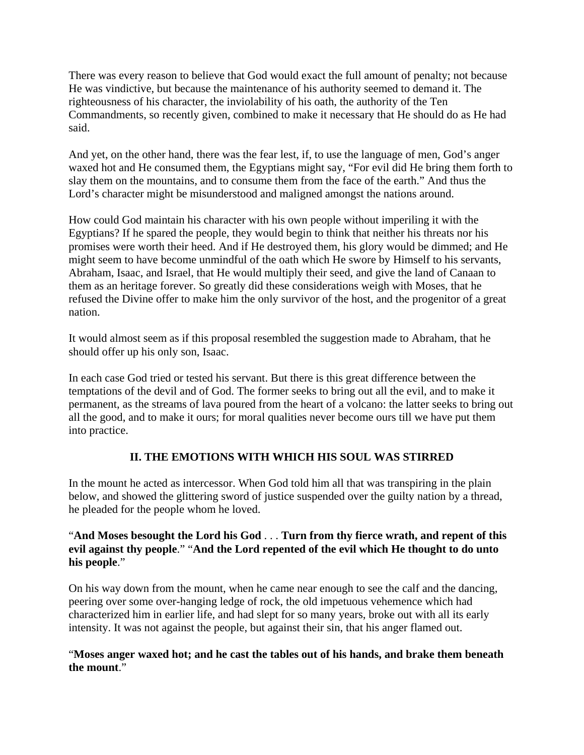There was every reason to believe that God would exact the full amount of penalty; not because He was vindictive, but because the maintenance of his authority seemed to demand it. The righteousness of his character, the inviolability of his oath, the authority of the Ten Commandments, so recently given, combined to make it necessary that He should do as He had said.

And yet, on the other hand, there was the fear lest, if, to use the language of men, God's anger waxed hot and He consumed them, the Egyptians might say, "For evil did He bring them forth to slay them on the mountains, and to consume them from the face of the earth." And thus the Lord's character might be misunderstood and maligned amongst the nations around.

How could God maintain his character with his own people without imperiling it with the Egyptians? If he spared the people, they would begin to think that neither his threats nor his promises were worth their heed. And if He destroyed them, his glory would be dimmed; and He might seem to have become unmindful of the oath which He swore by Himself to his servants, Abraham, Isaac, and Israel, that He would multiply their seed, and give the land of Canaan to them as an heritage forever. So greatly did these considerations weigh with Moses, that he refused the Divine offer to make him the only survivor of the host, and the progenitor of a great nation.

It would almost seem as if this proposal resembled the suggestion made to Abraham, that he should offer up his only son, Isaac.

In each case God tried or tested his servant. But there is this great difference between the temptations of the devil and of God. The former seeks to bring out all the evil, and to make it permanent, as the streams of lava poured from the heart of a volcano: the latter seeks to bring out all the good, and to make it ours; for moral qualities never become ours till we have put them into practice.

# **II. THE EMOTIONS WITH WHICH HIS SOUL WAS STIRRED**

In the mount he acted as intercessor. When God told him all that was transpiring in the plain below, and showed the glittering sword of justice suspended over the guilty nation by a thread, he pleaded for the people whom he loved.

#### "**And Moses besought the Lord his God** . . . **Turn from thy fierce wrath, and repent of this evil against thy people**." "**And the Lord repented of the evil which He thought to do unto his people**."

On his way down from the mount, when he came near enough to see the calf and the dancing, peering over some over-hanging ledge of rock, the old impetuous vehemence which had characterized him in earlier life, and had slept for so many years, broke out with all its early intensity. It was not against the people, but against their sin, that his anger flamed out.

#### "**Moses anger waxed hot; and he cast the tables out of his hands, and brake them beneath the mount**."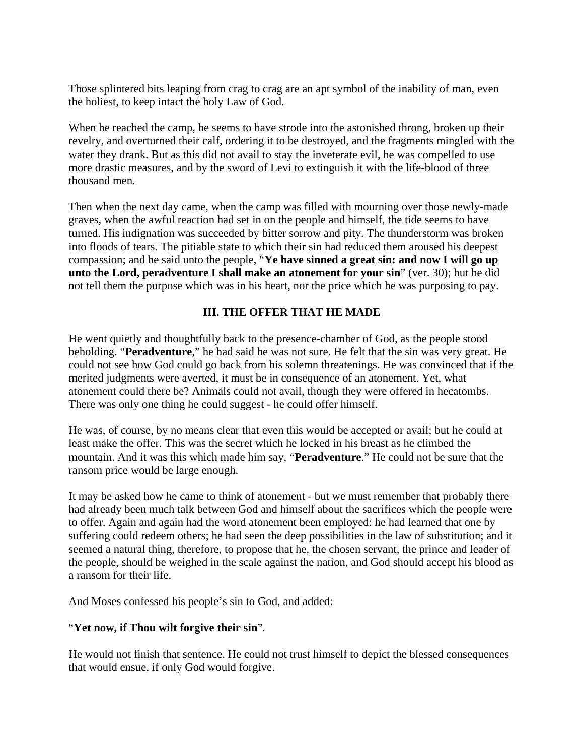Those splintered bits leaping from crag to crag are an apt symbol of the inability of man, even the holiest, to keep intact the holy Law of God.

When he reached the camp, he seems to have strode into the astonished throng, broken up their revelry, and overturned their calf, ordering it to be destroyed, and the fragments mingled with the water they drank. But as this did not avail to stay the inveterate evil, he was compelled to use more drastic measures, and by the sword of Levi to extinguish it with the life-blood of three thousand men.

Then when the next day came, when the camp was filled with mourning over those newly-made graves, when the awful reaction had set in on the people and himself, the tide seems to have turned. His indignation was succeeded by bitter sorrow and pity. The thunderstorm was broken into floods of tears. The pitiable state to which their sin had reduced them aroused his deepest compassion; and he said unto the people, "**Ye have sinned a great sin: and now I will go up unto the Lord, peradventure I shall make an atonement for your sin**" (ver. 30); but he did not tell them the purpose which was in his heart, nor the price which he was purposing to pay.

## **III. THE OFFER THAT HE MADE**

He went quietly and thoughtfully back to the presence-chamber of God, as the people stood beholding. "**Peradventure**," he had said he was not sure. He felt that the sin was very great. He could not see how God could go back from his solemn threatenings. He was convinced that if the merited judgments were averted, it must be in consequence of an atonement. Yet, what atonement could there be? Animals could not avail, though they were offered in hecatombs. There was only one thing he could suggest - he could offer himself.

He was, of course, by no means clear that even this would be accepted or avail; but he could at least make the offer. This was the secret which he locked in his breast as he climbed the mountain. And it was this which made him say, "**Peradventure**." He could not be sure that the ransom price would be large enough.

It may be asked how he came to think of atonement - but we must remember that probably there had already been much talk between God and himself about the sacrifices which the people were to offer. Again and again had the word atonement been employed: he had learned that one by suffering could redeem others; he had seen the deep possibilities in the law of substitution; and it seemed a natural thing, therefore, to propose that he, the chosen servant, the prince and leader of the people, should be weighed in the scale against the nation, and God should accept his blood as a ransom for their life.

And Moses confessed his people's sin to God, and added:

### "**Yet now, if Thou wilt forgive their sin**".

He would not finish that sentence. He could not trust himself to depict the blessed consequences that would ensue, if only God would forgive.